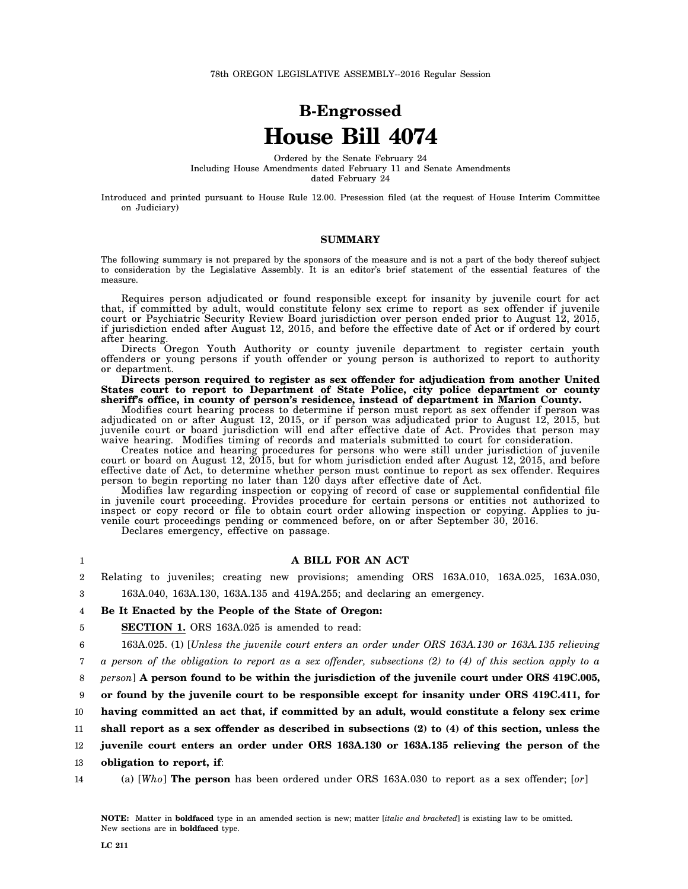# **B-Engrossed House Bill 4074**

Ordered by the Senate February 24 Including House Amendments dated February 11 and Senate Amendments dated February 24

Introduced and printed pursuant to House Rule 12.00. Presession filed (at the request of House Interim Committee on Judiciary)

#### **SUMMARY**

The following summary is not prepared by the sponsors of the measure and is not a part of the body thereof subject to consideration by the Legislative Assembly. It is an editor's brief statement of the essential features of the measure.

Requires person adjudicated or found responsible except for insanity by juvenile court for act that, if committed by adult, would constitute felony sex crime to report as sex offender if juvenile court or Psychiatric Security Review Board jurisdiction over person ended prior to August 12, 2015, if jurisdiction ended after August 12, 2015, and before the effective date of Act or if ordered by court after hearing.

Directs Oregon Youth Authority or county juvenile department to register certain youth offenders or young persons if youth offender or young person is authorized to report to authority or department.

**Directs person required to register as sex offender for adjudication from another United States court to report to Department of State Police, city police department or county sheriff's office, in county of person's residence, instead of department in Marion County.**

Modifies court hearing process to determine if person must report as sex offender if person was adjudicated on or after August 12, 2015, or if person was adjudicated prior to August 12, 2015, but juvenile court or board jurisdiction will end after effective date of Act. Provides that person may waive hearing. Modifies timing of records and materials submitted to court for consideration.

Creates notice and hearing procedures for persons who were still under jurisdiction of juvenile court or board on August 12, 2015, but for whom jurisdiction ended after August 12, 2015, and before effective date of Act, to determine whether person must continue to report as sex offender. Requires person to begin reporting no later than 120 days after effective date of Act.

Modifies law regarding inspection or copying of record of case or supplemental confidential file in juvenile court proceeding. Provides procedure for certain persons or entities not authorized to inspect or copy record or file to obtain court order allowing inspection or copying. Applies to juvenile court proceedings pending or commenced before, on or after September 30, 2016.

Declares emergency, effective on passage.

#### **A BILL FOR AN ACT**

2 Relating to juveniles; creating new provisions; amending ORS 163A.010, 163A.025, 163A.030,

3 163A.040, 163A.130, 163A.135 and 419A.255; and declaring an emergency.

#### 4 **Be It Enacted by the People of the State of Oregon:**

5 **SECTION 1.** ORS 163A.025 is amended to read:

6 163A.025. (1) [*Unless the juvenile court enters an order under ORS 163A.130 or 163A.135 relieving*

7 *a person of the obligation to report as a sex offender, subsections (2) to (4) of this section apply to a*

8 *person*] **A person found to be within the jurisdiction of the juvenile court under ORS 419C.005,**

9 **or found by the juvenile court to be responsible except for insanity under ORS 419C.411, for**

10 **having committed an act that, if committed by an adult, would constitute a felony sex crime**

11 **shall report as a sex offender as described in subsections (2) to (4) of this section, unless the**

12 **juvenile court enters an order under ORS 163A.130 or 163A.135 relieving the person of the**

13 **obligation to report, if**:

14 (a) [*Who*] **The person** has been ordered under ORS 163A.030 to report as a sex offender; [*or*]

1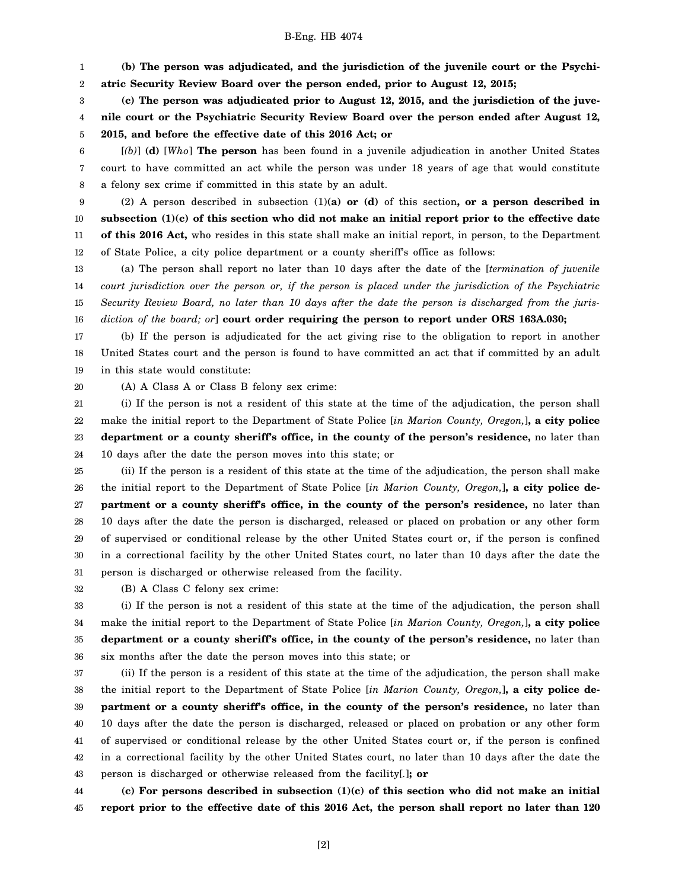1 2 **(b) The person was adjudicated, and the jurisdiction of the juvenile court or the Psychiatric Security Review Board over the person ended, prior to August 12, 2015;**

3 4 5 **(c) The person was adjudicated prior to August 12, 2015, and the jurisdiction of the juvenile court or the Psychiatric Security Review Board over the person ended after August 12, 2015, and before the effective date of this 2016 Act; or**

6 7 8 [*(b)*] **(d)** [*Who*] **The person** has been found in a juvenile adjudication in another United States court to have committed an act while the person was under 18 years of age that would constitute a felony sex crime if committed in this state by an adult.

9 10 11 12 (2) A person described in subsection (1)**(a) or (d)** of this section**, or a person described in subsection (1)(c) of this section who did not make an initial report prior to the effective date of this 2016 Act,** who resides in this state shall make an initial report, in person, to the Department of State Police, a city police department or a county sheriff's office as follows:

13 14 15 16 (a) The person shall report no later than 10 days after the date of the [*termination of juvenile court jurisdiction over the person or, if the person is placed under the jurisdiction of the Psychiatric Security Review Board, no later than 10 days after the date the person is discharged from the jurisdiction of the board; or*] **court order requiring the person to report under ORS 163A.030;**

17 18 19 (b) If the person is adjudicated for the act giving rise to the obligation to report in another United States court and the person is found to have committed an act that if committed by an adult in this state would constitute:

20

(A) A Class A or Class B felony sex crime:

21 22 23 24 (i) If the person is not a resident of this state at the time of the adjudication, the person shall make the initial report to the Department of State Police [*in Marion County, Oregon,*]**, a city police department or a county sheriff's office, in the county of the person's residence,** no later than 10 days after the date the person moves into this state; or

25 26 27 28 29 30 31 (ii) If the person is a resident of this state at the time of the adjudication, the person shall make the initial report to the Department of State Police [*in Marion County, Oregon,*]**, a city police department or a county sheriff's office, in the county of the person's residence,** no later than 10 days after the date the person is discharged, released or placed on probation or any other form of supervised or conditional release by the other United States court or, if the person is confined in a correctional facility by the other United States court, no later than 10 days after the date the person is discharged or otherwise released from the facility.

32 (B) A Class C felony sex crime:

33 34 35 36 (i) If the person is not a resident of this state at the time of the adjudication, the person shall make the initial report to the Department of State Police [*in Marion County, Oregon,*]**, a city police department or a county sheriff's office, in the county of the person's residence,** no later than six months after the date the person moves into this state; or

37 38 39 40 41 42 43 (ii) If the person is a resident of this state at the time of the adjudication, the person shall make the initial report to the Department of State Police [*in Marion County, Oregon,*]**, a city police department or a county sheriff's office, in the county of the person's residence,** no later than 10 days after the date the person is discharged, released or placed on probation or any other form of supervised or conditional release by the other United States court or, if the person is confined in a correctional facility by the other United States court, no later than 10 days after the date the person is discharged or otherwise released from the facility[*.*]**; or**

44 45 **(c) For persons described in subsection (1)(c) of this section who did not make an initial report prior to the effective date of this 2016 Act, the person shall report no later than 120**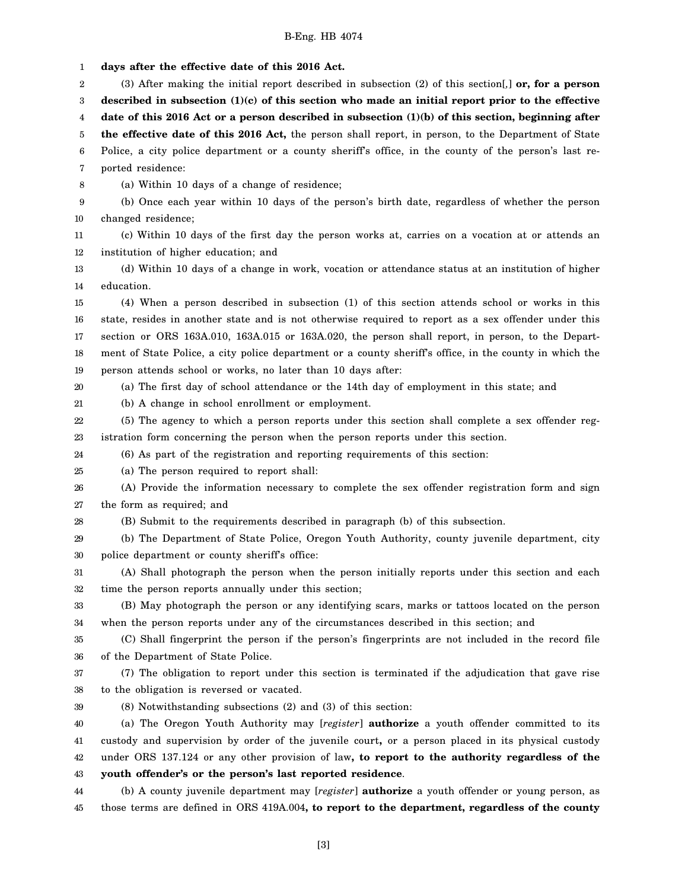1 2 3 4 5 6 7 8 9 10 11 12 13 14 15 16 17 18 19 20 21 22 23 24 25 26 27 28 29 30 31 32 33 34 35 36 37 38 39 40 41 42 43 44 45 **days after the effective date of this 2016 Act.** (3) After making the initial report described in subsection (2) of this section[*,*] **or, for a person described in subsection (1)(c) of this section who made an initial report prior to the effective date of this 2016 Act or a person described in subsection (1)(b) of this section, beginning after the effective date of this 2016 Act,** the person shall report, in person, to the Department of State Police, a city police department or a county sheriff's office, in the county of the person's last reported residence: (a) Within 10 days of a change of residence; (b) Once each year within 10 days of the person's birth date, regardless of whether the person changed residence; (c) Within 10 days of the first day the person works at, carries on a vocation at or attends an institution of higher education; and (d) Within 10 days of a change in work, vocation or attendance status at an institution of higher education. (4) When a person described in subsection (1) of this section attends school or works in this state, resides in another state and is not otherwise required to report as a sex offender under this section or ORS 163A.010, 163A.015 or 163A.020, the person shall report, in person, to the Department of State Police, a city police department or a county sheriff's office, in the county in which the person attends school or works, no later than 10 days after: (a) The first day of school attendance or the 14th day of employment in this state; and (b) A change in school enrollment or employment. (5) The agency to which a person reports under this section shall complete a sex offender registration form concerning the person when the person reports under this section. (6) As part of the registration and reporting requirements of this section: (a) The person required to report shall: (A) Provide the information necessary to complete the sex offender registration form and sign the form as required; and (B) Submit to the requirements described in paragraph (b) of this subsection. (b) The Department of State Police, Oregon Youth Authority, county juvenile department, city police department or county sheriff's office: (A) Shall photograph the person when the person initially reports under this section and each time the person reports annually under this section; (B) May photograph the person or any identifying scars, marks or tattoos located on the person when the person reports under any of the circumstances described in this section; and (C) Shall fingerprint the person if the person's fingerprints are not included in the record file of the Department of State Police. (7) The obligation to report under this section is terminated if the adjudication that gave rise to the obligation is reversed or vacated. (8) Notwithstanding subsections (2) and (3) of this section: (a) The Oregon Youth Authority may [*register*] **authorize** a youth offender committed to its custody and supervision by order of the juvenile court**,** or a person placed in its physical custody under ORS 137.124 or any other provision of law**, to report to the authority regardless of the youth offender's or the person's last reported residence**. (b) A county juvenile department may [*register*] **authorize** a youth offender or young person, as those terms are defined in ORS 419A.004**, to report to the department, regardless of the county**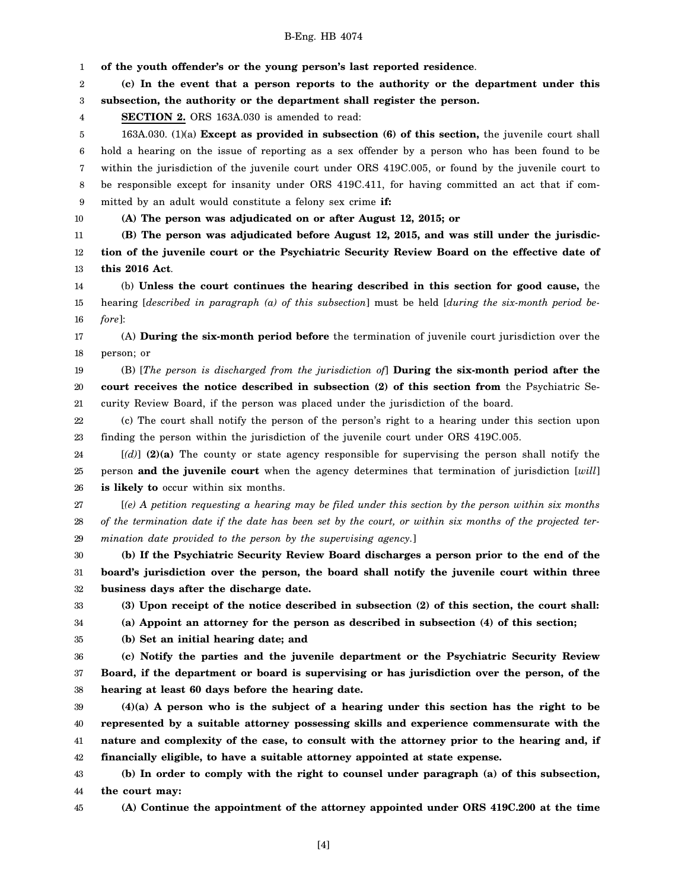1 2 3 4 5 6 7 8 9 10 11 12 13 14 15 16 17 18 19 20 21 22 23 24 25 26 27 28 29 30 31 32 33 34 35 36 37 38 39 40 41 42 43 44 45 **of the youth offender's or the young person's last reported residence**. **(c) In the event that a person reports to the authority or the department under this subsection, the authority or the department shall register the person. SECTION 2.** ORS 163A.030 is amended to read: 163A.030. (1)(a) **Except as provided in subsection (6) of this section,** the juvenile court shall hold a hearing on the issue of reporting as a sex offender by a person who has been found to be within the jurisdiction of the juvenile court under ORS 419C.005, or found by the juvenile court to be responsible except for insanity under ORS 419C.411, for having committed an act that if committed by an adult would constitute a felony sex crime **if: (A) The person was adjudicated on or after August 12, 2015; or (B) The person was adjudicated before August 12, 2015, and was still under the jurisdiction of the juvenile court or the Psychiatric Security Review Board on the effective date of this 2016 Act**. (b) **Unless the court continues the hearing described in this section for good cause,** the hearing [*described in paragraph (a) of this subsection*] must be held [*during the six-month period before*]: (A) **During the six-month period before** the termination of juvenile court jurisdiction over the person; or (B) [*The person is discharged from the jurisdiction of*] **During the six-month period after the court receives the notice described in subsection (2) of this section from** the Psychiatric Security Review Board, if the person was placed under the jurisdiction of the board. (c) The court shall notify the person of the person's right to a hearing under this section upon finding the person within the jurisdiction of the juvenile court under ORS 419C.005. [*(d)*] **(2)(a)** The county or state agency responsible for supervising the person shall notify the person **and the juvenile court** when the agency determines that termination of jurisdiction [*will*] **is likely to** occur within six months. [*(e) A petition requesting a hearing may be filed under this section by the person within six months of the termination date if the date has been set by the court, or within six months of the projected termination date provided to the person by the supervising agency.*] **(b) If the Psychiatric Security Review Board discharges a person prior to the end of the board's jurisdiction over the person, the board shall notify the juvenile court within three business days after the discharge date. (3) Upon receipt of the notice described in subsection (2) of this section, the court shall: (a) Appoint an attorney for the person as described in subsection (4) of this section; (b) Set an initial hearing date; and (c) Notify the parties and the juvenile department or the Psychiatric Security Review Board, if the department or board is supervising or has jurisdiction over the person, of the hearing at least 60 days before the hearing date. (4)(a) A person who is the subject of a hearing under this section has the right to be represented by a suitable attorney possessing skills and experience commensurate with the nature and complexity of the case, to consult with the attorney prior to the hearing and, if financially eligible, to have a suitable attorney appointed at state expense. (b) In order to comply with the right to counsel under paragraph (a) of this subsection, the court may: (A) Continue the appointment of the attorney appointed under ORS 419C.200 at the time**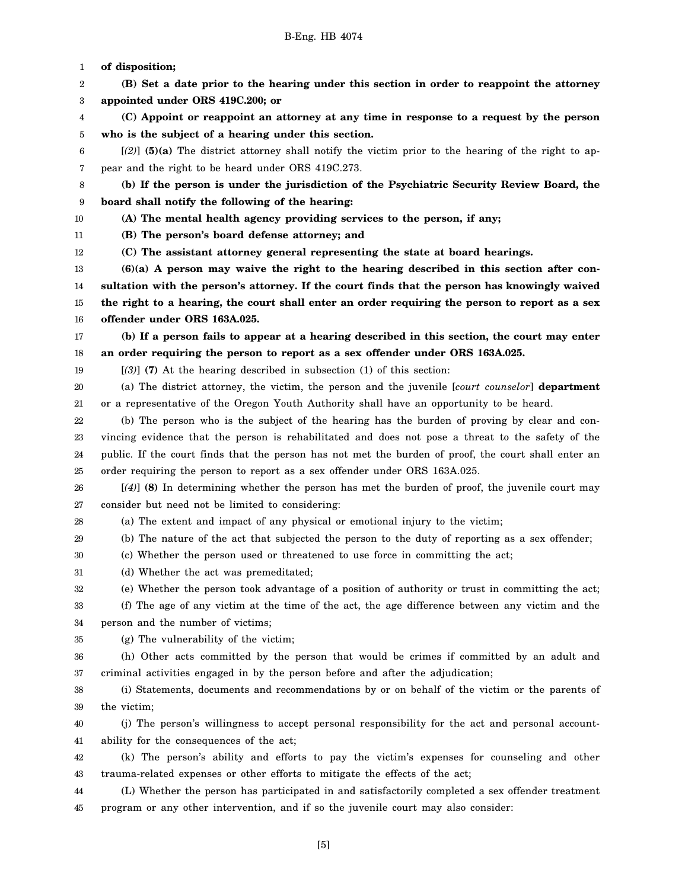1 2 3 4 5 6 7 8 9 10 11 12 13 14 15 16 17 18 19 20 21 22 23 24 25 26 27 28 29 30 31 32 33 34 35 36 37 38 39 40 41 42 43 44 45 **of disposition; (B) Set a date prior to the hearing under this section in order to reappoint the attorney appointed under ORS 419C.200; or (C) Appoint or reappoint an attorney at any time in response to a request by the person who is the subject of a hearing under this section.** [*(2)*] **(5)(a)** The district attorney shall notify the victim prior to the hearing of the right to appear and the right to be heard under ORS 419C.273. **(b) If the person is under the jurisdiction of the Psychiatric Security Review Board, the board shall notify the following of the hearing: (A) The mental health agency providing services to the person, if any; (B) The person's board defense attorney; and (C) The assistant attorney general representing the state at board hearings. (6)(a) A person may waive the right to the hearing described in this section after consultation with the person's attorney. If the court finds that the person has knowingly waived the right to a hearing, the court shall enter an order requiring the person to report as a sex offender under ORS 163A.025. (b) If a person fails to appear at a hearing described in this section, the court may enter an order requiring the person to report as a sex offender under ORS 163A.025.** [*(3)*] **(7)** At the hearing described in subsection (1) of this section: (a) The district attorney, the victim, the person and the juvenile [*court counselor*] **department** or a representative of the Oregon Youth Authority shall have an opportunity to be heard. (b) The person who is the subject of the hearing has the burden of proving by clear and convincing evidence that the person is rehabilitated and does not pose a threat to the safety of the public. If the court finds that the person has not met the burden of proof, the court shall enter an order requiring the person to report as a sex offender under ORS 163A.025. [*(4)*] **(8)** In determining whether the person has met the burden of proof, the juvenile court may consider but need not be limited to considering: (a) The extent and impact of any physical or emotional injury to the victim; (b) The nature of the act that subjected the person to the duty of reporting as a sex offender; (c) Whether the person used or threatened to use force in committing the act; (d) Whether the act was premeditated; (e) Whether the person took advantage of a position of authority or trust in committing the act; (f) The age of any victim at the time of the act, the age difference between any victim and the person and the number of victims; (g) The vulnerability of the victim; (h) Other acts committed by the person that would be crimes if committed by an adult and criminal activities engaged in by the person before and after the adjudication; (i) Statements, documents and recommendations by or on behalf of the victim or the parents of the victim; (j) The person's willingness to accept personal responsibility for the act and personal accountability for the consequences of the act; (k) The person's ability and efforts to pay the victim's expenses for counseling and other trauma-related expenses or other efforts to mitigate the effects of the act; (L) Whether the person has participated in and satisfactorily completed a sex offender treatment program or any other intervention, and if so the juvenile court may also consider: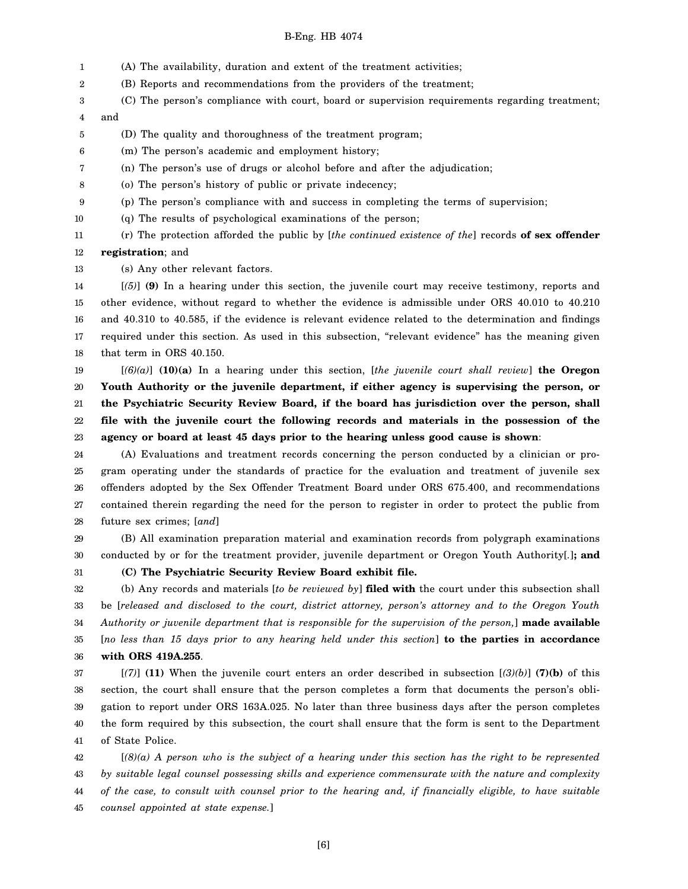- 1 (A) The availability, duration and extent of the treatment activities;
- 2 (B) Reports and recommendations from the providers of the treatment;
- 3 (C) The person's compliance with court, board or supervision requirements regarding treatment;
- 4 and
- 5 (D) The quality and thoroughness of the treatment program;
- 6 (m) The person's academic and employment history;
- 7 (n) The person's use of drugs or alcohol before and after the adjudication;
- 8 (o) The person's history of public or private indecency;
- 9 (p) The person's compliance with and success in completing the terms of supervision;
- 10 (q) The results of psychological examinations of the person;

11 12 (r) The protection afforded the public by [*the continued existence of the*] records **of sex offender registration**; and

13 (s) Any other relevant factors.

14 15 16 17 18 [*(5)*] **(9)** In a hearing under this section, the juvenile court may receive testimony, reports and other evidence, without regard to whether the evidence is admissible under ORS 40.010 to 40.210 and 40.310 to 40.585, if the evidence is relevant evidence related to the determination and findings required under this section. As used in this subsection, "relevant evidence" has the meaning given that term in ORS 40.150.

19 20 21 22 23 [*(6)(a)*] **(10)(a)** In a hearing under this section, [*the juvenile court shall review*] **the Oregon Youth Authority or the juvenile department, if either agency is supervising the person, or the Psychiatric Security Review Board, if the board has jurisdiction over the person, shall file with the juvenile court the following records and materials in the possession of the agency or board at least 45 days prior to the hearing unless good cause is shown**:

24 25 26 27 28 (A) Evaluations and treatment records concerning the person conducted by a clinician or program operating under the standards of practice for the evaluation and treatment of juvenile sex offenders adopted by the Sex Offender Treatment Board under ORS 675.400, and recommendations contained therein regarding the need for the person to register in order to protect the public from future sex crimes; [*and*]

29 30 (B) All examination preparation material and examination records from polygraph examinations conducted by or for the treatment provider, juvenile department or Oregon Youth Authority[*.*]**; and**

31

**(C) The Psychiatric Security Review Board exhibit file.**

32 33 34 35 36 (b) Any records and materials [*to be reviewed by*] **filed with** the court under this subsection shall be [*released and disclosed to the court, district attorney, person's attorney and to the Oregon Youth Authority or juvenile department that is responsible for the supervision of the person,*] **made available** [*no less than 15 days prior to any hearing held under this section*] **to the parties in accordance with ORS 419A.255**.

37 38 39 40 41 [*(7)*] **(11)** When the juvenile court enters an order described in subsection [*(3)(b)*] **(7)(b)** of this section, the court shall ensure that the person completes a form that documents the person's obligation to report under ORS 163A.025. No later than three business days after the person completes the form required by this subsection, the court shall ensure that the form is sent to the Department of State Police.

42 43 44 45 [*(8)(a) A person who is the subject of a hearing under this section has the right to be represented by suitable legal counsel possessing skills and experience commensurate with the nature and complexity of the case, to consult with counsel prior to the hearing and, if financially eligible, to have suitable counsel appointed at state expense.*]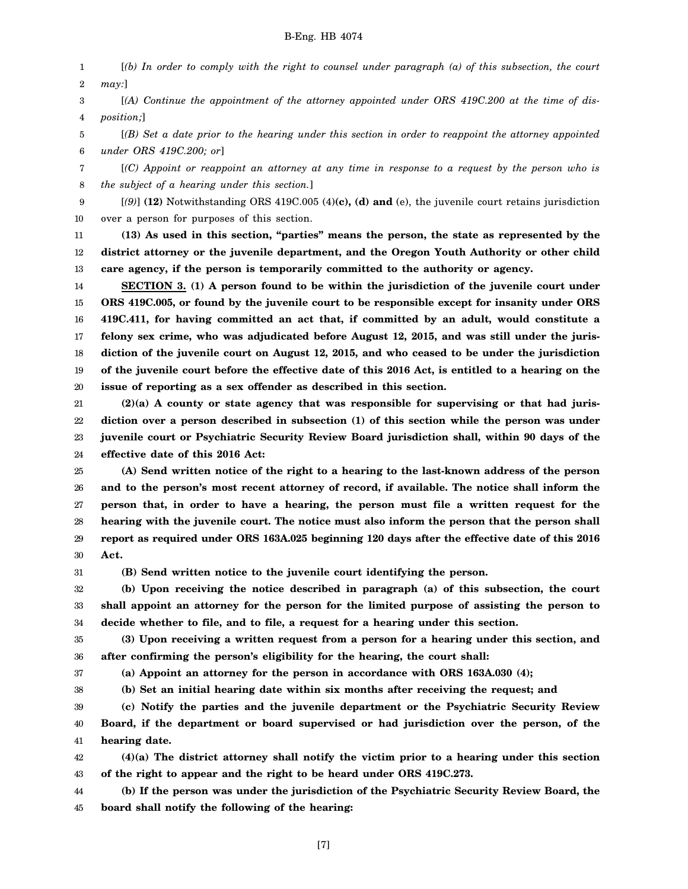1 2 [*(b) In order to comply with the right to counsel under paragraph (a) of this subsection, the court may:*]

3 4 [*(A) Continue the appointment of the attorney appointed under ORS 419C.200 at the time of disposition;*]

5 6 [*(B) Set a date prior to the hearing under this section in order to reappoint the attorney appointed under ORS 419C.200; or*]

7 8 [*(C) Appoint or reappoint an attorney at any time in response to a request by the person who is the subject of a hearing under this section.*]

9 10 [*(9)*] **(12)** Notwithstanding ORS 419C.005 (4)**(c), (d) and** (e), the juvenile court retains jurisdiction over a person for purposes of this section.

11 12 13 **(13) As used in this section, "parties" means the person, the state as represented by the district attorney or the juvenile department, and the Oregon Youth Authority or other child care agency, if the person is temporarily committed to the authority or agency.**

14 15 16 17 18 19 20 **SECTION 3. (1) A person found to be within the jurisdiction of the juvenile court under ORS 419C.005, or found by the juvenile court to be responsible except for insanity under ORS 419C.411, for having committed an act that, if committed by an adult, would constitute a felony sex crime, who was adjudicated before August 12, 2015, and was still under the jurisdiction of the juvenile court on August 12, 2015, and who ceased to be under the jurisdiction of the juvenile court before the effective date of this 2016 Act, is entitled to a hearing on the issue of reporting as a sex offender as described in this section.**

21 22 23 24 **(2)(a) A county or state agency that was responsible for supervising or that had jurisdiction over a person described in subsection (1) of this section while the person was under juvenile court or Psychiatric Security Review Board jurisdiction shall, within 90 days of the effective date of this 2016 Act:**

25 26 27 28 29 30 **(A) Send written notice of the right to a hearing to the last-known address of the person and to the person's most recent attorney of record, if available. The notice shall inform the person that, in order to have a hearing, the person must file a written request for the hearing with the juvenile court. The notice must also inform the person that the person shall report as required under ORS 163A.025 beginning 120 days after the effective date of this 2016 Act.**

31

**(B) Send written notice to the juvenile court identifying the person.**

32 33 34 **(b) Upon receiving the notice described in paragraph (a) of this subsection, the court shall appoint an attorney for the person for the limited purpose of assisting the person to decide whether to file, and to file, a request for a hearing under this section.**

35 36 **(3) Upon receiving a written request from a person for a hearing under this section, and after confirming the person's eligibility for the hearing, the court shall:**

37

38

**(a) Appoint an attorney for the person in accordance with ORS 163A.030 (4);**

**(b) Set an initial hearing date within six months after receiving the request; and**

39 40 41 **(c) Notify the parties and the juvenile department or the Psychiatric Security Review Board, if the department or board supervised or had jurisdiction over the person, of the hearing date.**

42 43 **(4)(a) The district attorney shall notify the victim prior to a hearing under this section of the right to appear and the right to be heard under ORS 419C.273.**

44 45 **(b) If the person was under the jurisdiction of the Psychiatric Security Review Board, the board shall notify the following of the hearing:**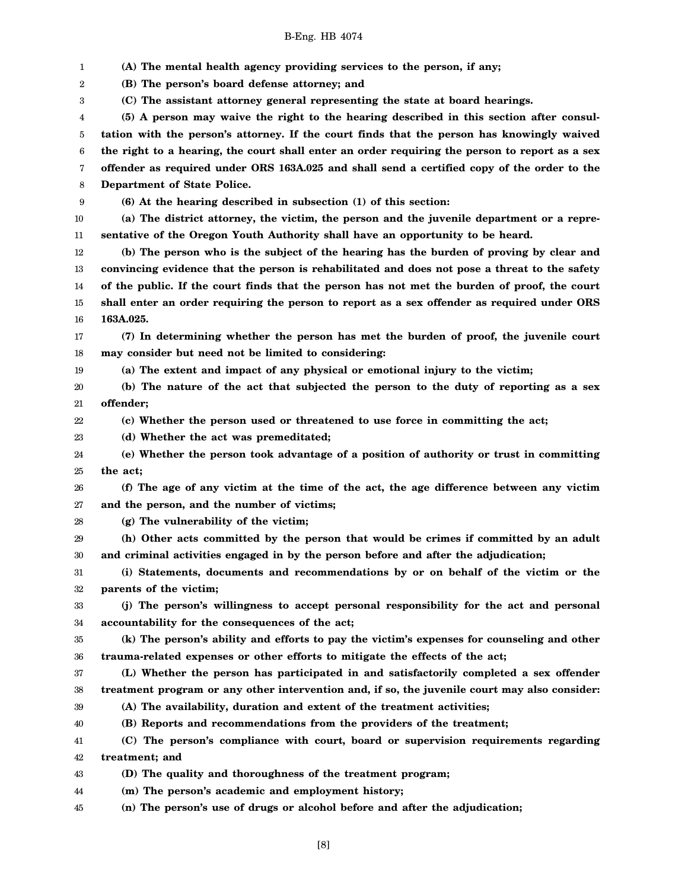1 2 3 4 5 6 7 8 9 10 11 12 13 14 15 16 17 18 19 20 21 22 23 24 25 26 27 28 29 30 31 32 33 34 35 36 37 38 39 40 41 42 43 44 45 **(A) The mental health agency providing services to the person, if any; (B) The person's board defense attorney; and (C) The assistant attorney general representing the state at board hearings. (5) A person may waive the right to the hearing described in this section after consultation with the person's attorney. If the court finds that the person has knowingly waived the right to a hearing, the court shall enter an order requiring the person to report as a sex offender as required under ORS 163A.025 and shall send a certified copy of the order to the Department of State Police. (6) At the hearing described in subsection (1) of this section: (a) The district attorney, the victim, the person and the juvenile department or a representative of the Oregon Youth Authority shall have an opportunity to be heard. (b) The person who is the subject of the hearing has the burden of proving by clear and convincing evidence that the person is rehabilitated and does not pose a threat to the safety of the public. If the court finds that the person has not met the burden of proof, the court shall enter an order requiring the person to report as a sex offender as required under ORS 163A.025. (7) In determining whether the person has met the burden of proof, the juvenile court may consider but need not be limited to considering: (a) The extent and impact of any physical or emotional injury to the victim; (b) The nature of the act that subjected the person to the duty of reporting as a sex offender; (c) Whether the person used or threatened to use force in committing the act; (d) Whether the act was premeditated; (e) Whether the person took advantage of a position of authority or trust in committing the act; (f) The age of any victim at the time of the act, the age difference between any victim and the person, and the number of victims; (g) The vulnerability of the victim; (h) Other acts committed by the person that would be crimes if committed by an adult and criminal activities engaged in by the person before and after the adjudication; (i) Statements, documents and recommendations by or on behalf of the victim or the parents of the victim; (j) The person's willingness to accept personal responsibility for the act and personal accountability for the consequences of the act; (k) The person's ability and efforts to pay the victim's expenses for counseling and other trauma-related expenses or other efforts to mitigate the effects of the act; (L) Whether the person has participated in and satisfactorily completed a sex offender treatment program or any other intervention and, if so, the juvenile court may also consider: (A) The availability, duration and extent of the treatment activities; (B) Reports and recommendations from the providers of the treatment; (C) The person's compliance with court, board or supervision requirements regarding treatment; and (D) The quality and thoroughness of the treatment program; (m) The person's academic and employment history; (n) The person's use of drugs or alcohol before and after the adjudication;**

[8]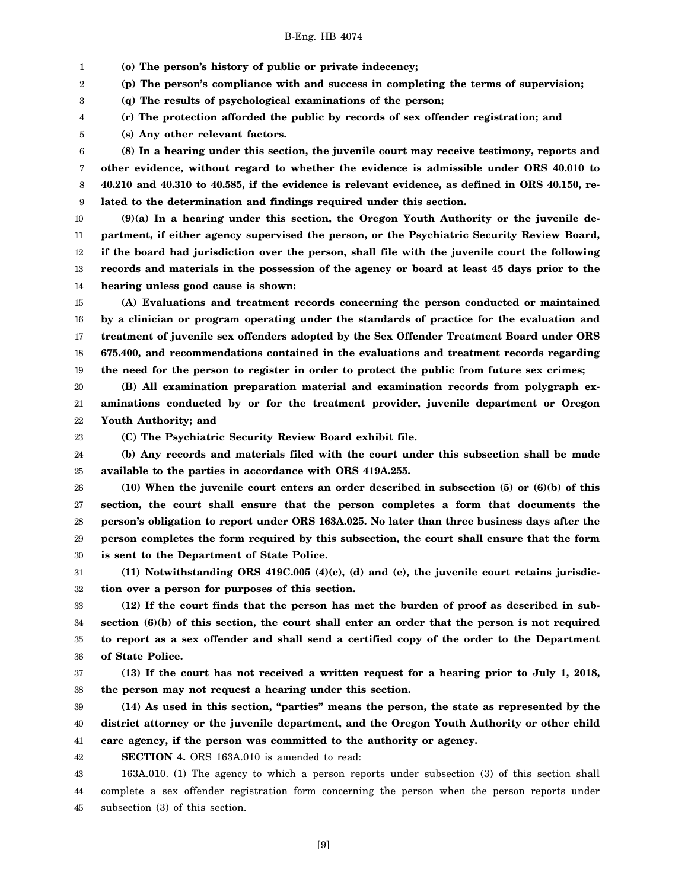1 **(o) The person's history of public or private indecency;**

2 **(p) The person's compliance with and success in completing the terms of supervision;**

3 **(q) The results of psychological examinations of the person;**

4 **(r) The protection afforded the public by records of sex offender registration; and**

5 **(s) Any other relevant factors.**

6 7 8 9 **(8) In a hearing under this section, the juvenile court may receive testimony, reports and other evidence, without regard to whether the evidence is admissible under ORS 40.010 to 40.210 and 40.310 to 40.585, if the evidence is relevant evidence, as defined in ORS 40.150, related to the determination and findings required under this section.**

10 11 12 13 14 **(9)(a) In a hearing under this section, the Oregon Youth Authority or the juvenile department, if either agency supervised the person, or the Psychiatric Security Review Board, if the board had jurisdiction over the person, shall file with the juvenile court the following records and materials in the possession of the agency or board at least 45 days prior to the hearing unless good cause is shown:**

15 16 17 18 19 **(A) Evaluations and treatment records concerning the person conducted or maintained by a clinician or program operating under the standards of practice for the evaluation and treatment of juvenile sex offenders adopted by the Sex Offender Treatment Board under ORS 675.400, and recommendations contained in the evaluations and treatment records regarding the need for the person to register in order to protect the public from future sex crimes;**

20 21 22 **(B) All examination preparation material and examination records from polygraph examinations conducted by or for the treatment provider, juvenile department or Oregon Youth Authority; and**

23

**(C) The Psychiatric Security Review Board exhibit file.**

24 25 **(b) Any records and materials filed with the court under this subsection shall be made available to the parties in accordance with ORS 419A.255.**

26 27 28 29 30 **(10) When the juvenile court enters an order described in subsection (5) or (6)(b) of this section, the court shall ensure that the person completes a form that documents the person's obligation to report under ORS 163A.025. No later than three business days after the person completes the form required by this subsection, the court shall ensure that the form is sent to the Department of State Police.**

31 32 **(11) Notwithstanding ORS 419C.005 (4)(c), (d) and (e), the juvenile court retains jurisdiction over a person for purposes of this section.**

33 34 35 36 **(12) If the court finds that the person has met the burden of proof as described in subsection (6)(b) of this section, the court shall enter an order that the person is not required to report as a sex offender and shall send a certified copy of the order to the Department of State Police.**

37 38 **(13) If the court has not received a written request for a hearing prior to July 1, 2018, the person may not request a hearing under this section.**

39 40 41 **(14) As used in this section, "parties" means the person, the state as represented by the district attorney or the juvenile department, and the Oregon Youth Authority or other child care agency, if the person was committed to the authority or agency.**

42 **SECTION 4.** ORS 163A.010 is amended to read:

43 44 45 163A.010. (1) The agency to which a person reports under subsection (3) of this section shall complete a sex offender registration form concerning the person when the person reports under subsection (3) of this section.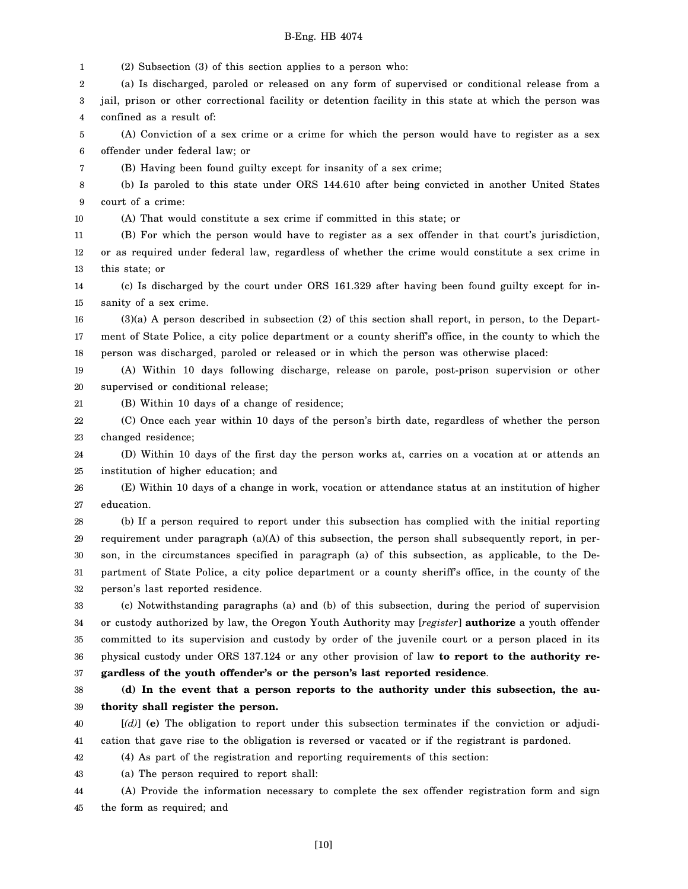1 2 3 4 5 6 7 8 9 10 11 12 13 14 15 16 17 18 19 20 21 22 23 24 25 26 27 28 29 30 31 32 33 34 35 36 37 38 39 40 41 42 43 44 (2) Subsection (3) of this section applies to a person who: (a) Is discharged, paroled or released on any form of supervised or conditional release from a jail, prison or other correctional facility or detention facility in this state at which the person was confined as a result of: (A) Conviction of a sex crime or a crime for which the person would have to register as a sex offender under federal law; or (B) Having been found guilty except for insanity of a sex crime; (b) Is paroled to this state under ORS 144.610 after being convicted in another United States court of a crime: (A) That would constitute a sex crime if committed in this state; or (B) For which the person would have to register as a sex offender in that court's jurisdiction, or as required under federal law, regardless of whether the crime would constitute a sex crime in this state; or (c) Is discharged by the court under ORS 161.329 after having been found guilty except for insanity of a sex crime. (3)(a) A person described in subsection (2) of this section shall report, in person, to the Department of State Police, a city police department or a county sheriff's office, in the county to which the person was discharged, paroled or released or in which the person was otherwise placed: (A) Within 10 days following discharge, release on parole, post-prison supervision or other supervised or conditional release; (B) Within 10 days of a change of residence; (C) Once each year within 10 days of the person's birth date, regardless of whether the person changed residence; (D) Within 10 days of the first day the person works at, carries on a vocation at or attends an institution of higher education; and (E) Within 10 days of a change in work, vocation or attendance status at an institution of higher education. (b) If a person required to report under this subsection has complied with the initial reporting requirement under paragraph  $(a)(A)$  of this subsection, the person shall subsequently report, in person, in the circumstances specified in paragraph (a) of this subsection, as applicable, to the Department of State Police, a city police department or a county sheriff's office, in the county of the person's last reported residence. (c) Notwithstanding paragraphs (a) and (b) of this subsection, during the period of supervision or custody authorized by law, the Oregon Youth Authority may [*register*] **authorize** a youth offender committed to its supervision and custody by order of the juvenile court or a person placed in its physical custody under ORS 137.124 or any other provision of law **to report to the authority regardless of the youth offender's or the person's last reported residence**. **(d) In the event that a person reports to the authority under this subsection, the authority shall register the person.** [*(d)*] **(e)** The obligation to report under this subsection terminates if the conviction or adjudication that gave rise to the obligation is reversed or vacated or if the registrant is pardoned. (4) As part of the registration and reporting requirements of this section: (a) The person required to report shall: (A) Provide the information necessary to complete the sex offender registration form and sign

45 the form as required; and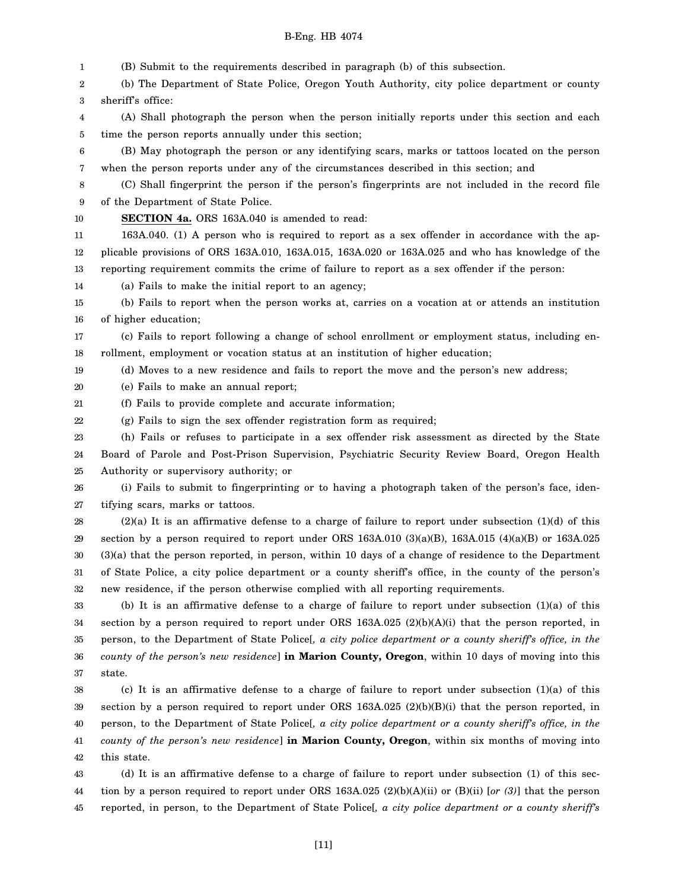1 2 3 4 5 6 7 8 9 10 11 12 13 14 15 16 17 18 19 20 21 22 23 24 25 26 27 28 29 30 31 32 33 34 35 36 (B) Submit to the requirements described in paragraph (b) of this subsection. (b) The Department of State Police, Oregon Youth Authority, city police department or county sheriff's office: (A) Shall photograph the person when the person initially reports under this section and each time the person reports annually under this section; (B) May photograph the person or any identifying scars, marks or tattoos located on the person when the person reports under any of the circumstances described in this section; and (C) Shall fingerprint the person if the person's fingerprints are not included in the record file of the Department of State Police. **SECTION 4a.** ORS 163A.040 is amended to read: 163A.040. (1) A person who is required to report as a sex offender in accordance with the applicable provisions of ORS 163A.010, 163A.015, 163A.020 or 163A.025 and who has knowledge of the reporting requirement commits the crime of failure to report as a sex offender if the person: (a) Fails to make the initial report to an agency; (b) Fails to report when the person works at, carries on a vocation at or attends an institution of higher education; (c) Fails to report following a change of school enrollment or employment status, including enrollment, employment or vocation status at an institution of higher education; (d) Moves to a new residence and fails to report the move and the person's new address; (e) Fails to make an annual report; (f) Fails to provide complete and accurate information; (g) Fails to sign the sex offender registration form as required; (h) Fails or refuses to participate in a sex offender risk assessment as directed by the State Board of Parole and Post-Prison Supervision, Psychiatric Security Review Board, Oregon Health Authority or supervisory authority; or (i) Fails to submit to fingerprinting or to having a photograph taken of the person's face, identifying scars, marks or tattoos.  $(2)(a)$  It is an affirmative defense to a charge of failure to report under subsection  $(1)(d)$  of this section by a person required to report under ORS 163A.010 (3)(a)(B), 163A.015 (4)(a)(B) or 163A.025 (3)(a) that the person reported, in person, within 10 days of a change of residence to the Department of State Police, a city police department or a county sheriff's office, in the county of the person's new residence, if the person otherwise complied with all reporting requirements. (b) It is an affirmative defense to a charge of failure to report under subsection (1)(a) of this section by a person required to report under ORS 163A.025 (2)(b)(A)(i) that the person reported, in person, to the Department of State Police[*, a city police department or a county sheriff's office, in the county of the person's new residence*] **in Marion County, Oregon**, within 10 days of moving into this

37 state.

38 39 40 41 42 (c) It is an affirmative defense to a charge of failure to report under subsection (1)(a) of this section by a person required to report under ORS 163A.025 (2)(b)(B)(i) that the person reported, in person, to the Department of State Police[*, a city police department or a county sheriff's office, in the county of the person's new residence*] **in Marion County, Oregon**, within six months of moving into this state.

43 44 45 (d) It is an affirmative defense to a charge of failure to report under subsection (1) of this section by a person required to report under ORS 163A.025 (2)(b)(A)(ii) or (B)(ii) [*or (3)*] that the person reported, in person, to the Department of State Police[*, a city police department or a county sheriff's*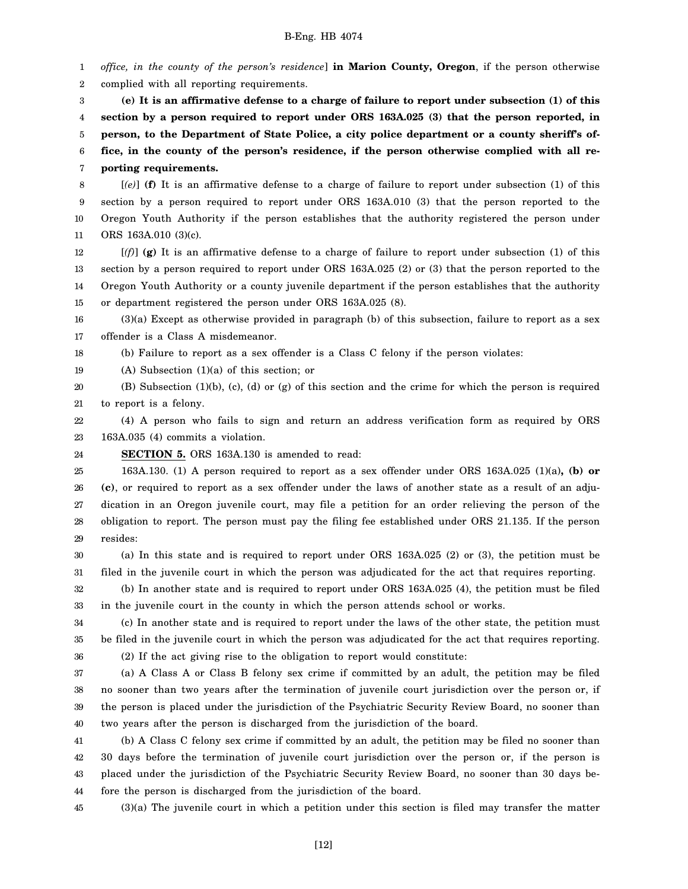1 2 3 4 5 6 7 8 9 10 11 12 13 14 15 16 17 18 19 20 21 22 *office, in the county of the person's residence*] **in Marion County, Oregon**, if the person otherwise complied with all reporting requirements. **(e) It is an affirmative defense to a charge of failure to report under subsection (1) of this section by a person required to report under ORS 163A.025 (3) that the person reported, in person, to the Department of State Police, a city police department or a county sheriff's office, in the county of the person's residence, if the person otherwise complied with all reporting requirements.** [*(e)*] **(f)** It is an affirmative defense to a charge of failure to report under subsection (1) of this section by a person required to report under ORS 163A.010 (3) that the person reported to the Oregon Youth Authority if the person establishes that the authority registered the person under ORS 163A.010 (3)(c). [*(f)*] **(g)** It is an affirmative defense to a charge of failure to report under subsection (1) of this section by a person required to report under ORS 163A.025 (2) or (3) that the person reported to the Oregon Youth Authority or a county juvenile department if the person establishes that the authority or department registered the person under ORS 163A.025 (8). (3)(a) Except as otherwise provided in paragraph (b) of this subsection, failure to report as a sex offender is a Class A misdemeanor. (b) Failure to report as a sex offender is a Class C felony if the person violates: (A) Subsection (1)(a) of this section; or (B) Subsection (1)(b), (c), (d) or (g) of this section and the crime for which the person is required to report is a felony. (4) A person who fails to sign and return an address verification form as required by ORS

23 163A.035 (4) commits a violation.

24 **SECTION 5.** ORS 163A.130 is amended to read:

25 26 27 28 29 163A.130. (1) A person required to report as a sex offender under ORS 163A.025 (1)(a)**, (b) or (c)**, or required to report as a sex offender under the laws of another state as a result of an adjudication in an Oregon juvenile court, may file a petition for an order relieving the person of the obligation to report. The person must pay the filing fee established under ORS 21.135. If the person resides:

30 31 (a) In this state and is required to report under ORS 163A.025 (2) or (3), the petition must be filed in the juvenile court in which the person was adjudicated for the act that requires reporting.

32 33 (b) In another state and is required to report under ORS 163A.025 (4), the petition must be filed in the juvenile court in the county in which the person attends school or works.

34 35 36 (c) In another state and is required to report under the laws of the other state, the petition must be filed in the juvenile court in which the person was adjudicated for the act that requires reporting. (2) If the act giving rise to the obligation to report would constitute:

37 38 39 40 (a) A Class A or Class B felony sex crime if committed by an adult, the petition may be filed no sooner than two years after the termination of juvenile court jurisdiction over the person or, if the person is placed under the jurisdiction of the Psychiatric Security Review Board, no sooner than two years after the person is discharged from the jurisdiction of the board.

41 42 43 44 (b) A Class C felony sex crime if committed by an adult, the petition may be filed no sooner than 30 days before the termination of juvenile court jurisdiction over the person or, if the person is placed under the jurisdiction of the Psychiatric Security Review Board, no sooner than 30 days before the person is discharged from the jurisdiction of the board.

45 (3)(a) The juvenile court in which a petition under this section is filed may transfer the matter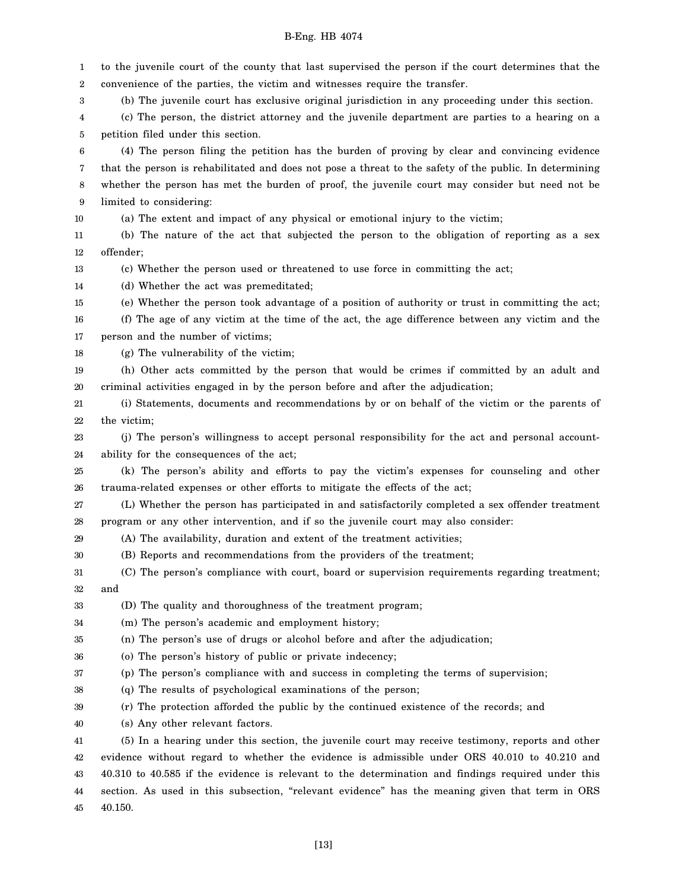1 2 3 4 5 6 7 8 9 10 11 12 13 14 15 16 17 18 19 20 21 22 23 24 25 26 27 28 29 30 31 32 33 34 35 36 37 38 39 40 41 42 43 44 45 to the juvenile court of the county that last supervised the person if the court determines that the convenience of the parties, the victim and witnesses require the transfer. (b) The juvenile court has exclusive original jurisdiction in any proceeding under this section. (c) The person, the district attorney and the juvenile department are parties to a hearing on a petition filed under this section. (4) The person filing the petition has the burden of proving by clear and convincing evidence that the person is rehabilitated and does not pose a threat to the safety of the public. In determining whether the person has met the burden of proof, the juvenile court may consider but need not be limited to considering: (a) The extent and impact of any physical or emotional injury to the victim; (b) The nature of the act that subjected the person to the obligation of reporting as a sex offender; (c) Whether the person used or threatened to use force in committing the act; (d) Whether the act was premeditated; (e) Whether the person took advantage of a position of authority or trust in committing the act; (f) The age of any victim at the time of the act, the age difference between any victim and the person and the number of victims; (g) The vulnerability of the victim; (h) Other acts committed by the person that would be crimes if committed by an adult and criminal activities engaged in by the person before and after the adjudication; (i) Statements, documents and recommendations by or on behalf of the victim or the parents of the victim; (j) The person's willingness to accept personal responsibility for the act and personal accountability for the consequences of the act; (k) The person's ability and efforts to pay the victim's expenses for counseling and other trauma-related expenses or other efforts to mitigate the effects of the act; (L) Whether the person has participated in and satisfactorily completed a sex offender treatment program or any other intervention, and if so the juvenile court may also consider: (A) The availability, duration and extent of the treatment activities; (B) Reports and recommendations from the providers of the treatment; (C) The person's compliance with court, board or supervision requirements regarding treatment; and (D) The quality and thoroughness of the treatment program; (m) The person's academic and employment history; (n) The person's use of drugs or alcohol before and after the adjudication; (o) The person's history of public or private indecency; (p) The person's compliance with and success in completing the terms of supervision; (q) The results of psychological examinations of the person; (r) The protection afforded the public by the continued existence of the records; and (s) Any other relevant factors. (5) In a hearing under this section, the juvenile court may receive testimony, reports and other evidence without regard to whether the evidence is admissible under ORS 40.010 to 40.210 and 40.310 to 40.585 if the evidence is relevant to the determination and findings required under this section. As used in this subsection, "relevant evidence" has the meaning given that term in ORS 40.150.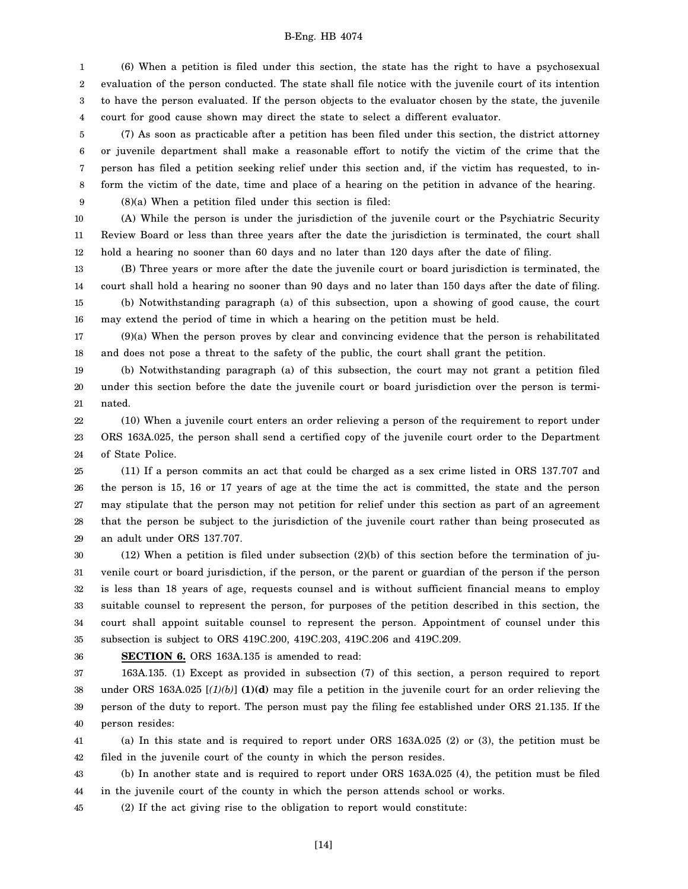1 2 3 4 (6) When a petition is filed under this section, the state has the right to have a psychosexual evaluation of the person conducted. The state shall file notice with the juvenile court of its intention to have the person evaluated. If the person objects to the evaluator chosen by the state, the juvenile court for good cause shown may direct the state to select a different evaluator.

5 6 7 8 9 (7) As soon as practicable after a petition has been filed under this section, the district attorney or juvenile department shall make a reasonable effort to notify the victim of the crime that the person has filed a petition seeking relief under this section and, if the victim has requested, to inform the victim of the date, time and place of a hearing on the petition in advance of the hearing. (8)(a) When a petition filed under this section is filed:

10 11 12 (A) While the person is under the jurisdiction of the juvenile court or the Psychiatric Security Review Board or less than three years after the date the jurisdiction is terminated, the court shall hold a hearing no sooner than 60 days and no later than 120 days after the date of filing.

13 14 15 16 (B) Three years or more after the date the juvenile court or board jurisdiction is terminated, the court shall hold a hearing no sooner than 90 days and no later than 150 days after the date of filing. (b) Notwithstanding paragraph (a) of this subsection, upon a showing of good cause, the court may extend the period of time in which a hearing on the petition must be held.

17 18 (9)(a) When the person proves by clear and convincing evidence that the person is rehabilitated and does not pose a threat to the safety of the public, the court shall grant the petition.

19 20 21 (b) Notwithstanding paragraph (a) of this subsection, the court may not grant a petition filed under this section before the date the juvenile court or board jurisdiction over the person is terminated.

22 23 24 (10) When a juvenile court enters an order relieving a person of the requirement to report under ORS 163A.025, the person shall send a certified copy of the juvenile court order to the Department of State Police.

25 26 27 28 29 (11) If a person commits an act that could be charged as a sex crime listed in ORS 137.707 and the person is 15, 16 or 17 years of age at the time the act is committed, the state and the person may stipulate that the person may not petition for relief under this section as part of an agreement that the person be subject to the jurisdiction of the juvenile court rather than being prosecuted as an adult under ORS 137.707.

30 31 32 33 34 35  $(12)$  When a petition is filed under subsection  $(2)(b)$  of this section before the termination of juvenile court or board jurisdiction, if the person, or the parent or guardian of the person if the person is less than 18 years of age, requests counsel and is without sufficient financial means to employ suitable counsel to represent the person, for purposes of the petition described in this section, the court shall appoint suitable counsel to represent the person. Appointment of counsel under this subsection is subject to ORS 419C.200, 419C.203, 419C.206 and 419C.209.

36

**SECTION 6.** ORS 163A.135 is amended to read:

37 38 39 40 163A.135. (1) Except as provided in subsection (7) of this section, a person required to report under ORS 163A.025 [*(1)(b)*] **(1)(d)** may file a petition in the juvenile court for an order relieving the person of the duty to report. The person must pay the filing fee established under ORS 21.135. If the person resides:

41 42 (a) In this state and is required to report under ORS 163A.025 (2) or (3), the petition must be filed in the juvenile court of the county in which the person resides.

43 44 (b) In another state and is required to report under ORS 163A.025 (4), the petition must be filed in the juvenile court of the county in which the person attends school or works.

45 (2) If the act giving rise to the obligation to report would constitute: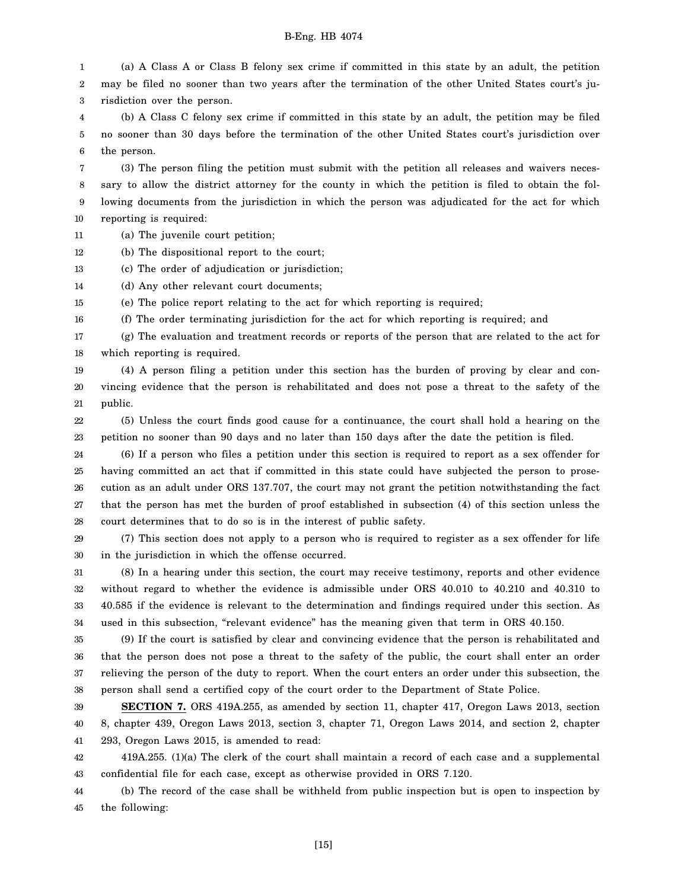1 2 3 4 5 6 (a) A Class A or Class B felony sex crime if committed in this state by an adult, the petition may be filed no sooner than two years after the termination of the other United States court's jurisdiction over the person. (b) A Class C felony sex crime if committed in this state by an adult, the petition may be filed no sooner than 30 days before the termination of the other United States court's jurisdiction over the person.

7 8 9 10 (3) The person filing the petition must submit with the petition all releases and waivers necessary to allow the district attorney for the county in which the petition is filed to obtain the following documents from the jurisdiction in which the person was adjudicated for the act for which reporting is required:

11 (a) The juvenile court petition;

12 (b) The dispositional report to the court;

13 (c) The order of adjudication or jurisdiction;

14 (d) Any other relevant court documents;

15 (e) The police report relating to the act for which reporting is required;

16 (f) The order terminating jurisdiction for the act for which reporting is required; and

17 18 (g) The evaluation and treatment records or reports of the person that are related to the act for which reporting is required.

19 20 21 (4) A person filing a petition under this section has the burden of proving by clear and convincing evidence that the person is rehabilitated and does not pose a threat to the safety of the public.

22 23 (5) Unless the court finds good cause for a continuance, the court shall hold a hearing on the petition no sooner than 90 days and no later than 150 days after the date the petition is filed.

24 25 26 27 28 (6) If a person who files a petition under this section is required to report as a sex offender for having committed an act that if committed in this state could have subjected the person to prosecution as an adult under ORS 137.707, the court may not grant the petition notwithstanding the fact that the person has met the burden of proof established in subsection (4) of this section unless the court determines that to do so is in the interest of public safety.

29 30 (7) This section does not apply to a person who is required to register as a sex offender for life in the jurisdiction in which the offense occurred.

31 32 33 34 (8) In a hearing under this section, the court may receive testimony, reports and other evidence without regard to whether the evidence is admissible under ORS 40.010 to 40.210 and 40.310 to 40.585 if the evidence is relevant to the determination and findings required under this section. As used in this subsection, "relevant evidence" has the meaning given that term in ORS 40.150.

35 36 37 38 (9) If the court is satisfied by clear and convincing evidence that the person is rehabilitated and that the person does not pose a threat to the safety of the public, the court shall enter an order relieving the person of the duty to report. When the court enters an order under this subsection, the person shall send a certified copy of the court order to the Department of State Police.

39 40 41 **SECTION 7.** ORS 419A.255, as amended by section 11, chapter 417, Oregon Laws 2013, section 8, chapter 439, Oregon Laws 2013, section 3, chapter 71, Oregon Laws 2014, and section 2, chapter 293, Oregon Laws 2015, is amended to read:

42 43 419A.255. (1)(a) The clerk of the court shall maintain a record of each case and a supplemental confidential file for each case, except as otherwise provided in ORS 7.120.

44 45 (b) The record of the case shall be withheld from public inspection but is open to inspection by the following: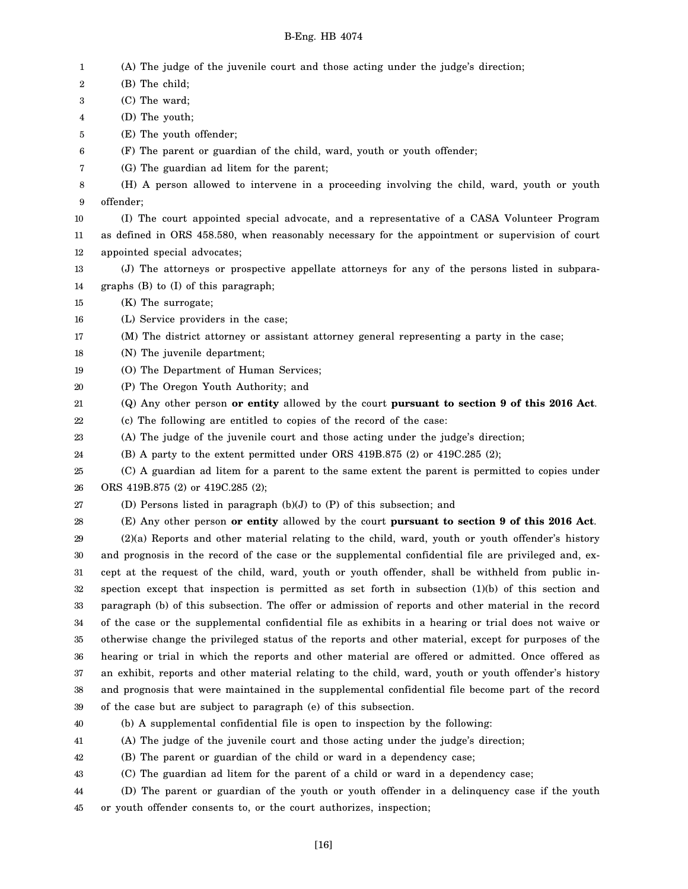- 1 (A) The judge of the juvenile court and those acting under the judge's direction;
- 2 3 4 5 6 7 8 9 10 11 12 13 14 15 16 17 18 19 20 21 22 23 24 25 26 27 28 29 30 31 32 33 34 35 36 37 38 39 40 41 42 43 (B) The child; (C) The ward; (D) The youth; (E) The youth offender; (F) The parent or guardian of the child, ward, youth or youth offender; (G) The guardian ad litem for the parent; (H) A person allowed to intervene in a proceeding involving the child, ward, youth or youth offender; (I) The court appointed special advocate, and a representative of a CASA Volunteer Program as defined in ORS 458.580, when reasonably necessary for the appointment or supervision of court appointed special advocates; (J) The attorneys or prospective appellate attorneys for any of the persons listed in subparagraphs (B) to (I) of this paragraph; (K) The surrogate; (L) Service providers in the case; (M) The district attorney or assistant attorney general representing a party in the case; (N) The juvenile department; (O) The Department of Human Services; (P) The Oregon Youth Authority; and (Q) Any other person **or entity** allowed by the court **pursuant to section 9 of this 2016 Act**. (c) The following are entitled to copies of the record of the case: (A) The judge of the juvenile court and those acting under the judge's direction; (B) A party to the extent permitted under ORS 419B.875 (2) or 419C.285 (2); (C) A guardian ad litem for a parent to the same extent the parent is permitted to copies under ORS 419B.875 (2) or 419C.285 (2); (D) Persons listed in paragraph (b)(J) to (P) of this subsection; and (E) Any other person **or entity** allowed by the court **pursuant to section 9 of this 2016 Act**. (2)(a) Reports and other material relating to the child, ward, youth or youth offender's history and prognosis in the record of the case or the supplemental confidential file are privileged and, except at the request of the child, ward, youth or youth offender, shall be withheld from public inspection except that inspection is permitted as set forth in subsection (1)(b) of this section and paragraph (b) of this subsection. The offer or admission of reports and other material in the record of the case or the supplemental confidential file as exhibits in a hearing or trial does not waive or otherwise change the privileged status of the reports and other material, except for purposes of the hearing or trial in which the reports and other material are offered or admitted. Once offered as an exhibit, reports and other material relating to the child, ward, youth or youth offender's history and prognosis that were maintained in the supplemental confidential file become part of the record of the case but are subject to paragraph (e) of this subsection. (b) A supplemental confidential file is open to inspection by the following: (A) The judge of the juvenile court and those acting under the judge's direction; (B) The parent or guardian of the child or ward in a dependency case; (C) The guardian ad litem for the parent of a child or ward in a dependency case;
- 44 45 (D) The parent or guardian of the youth or youth offender in a delinquency case if the youth or youth offender consents to, or the court authorizes, inspection;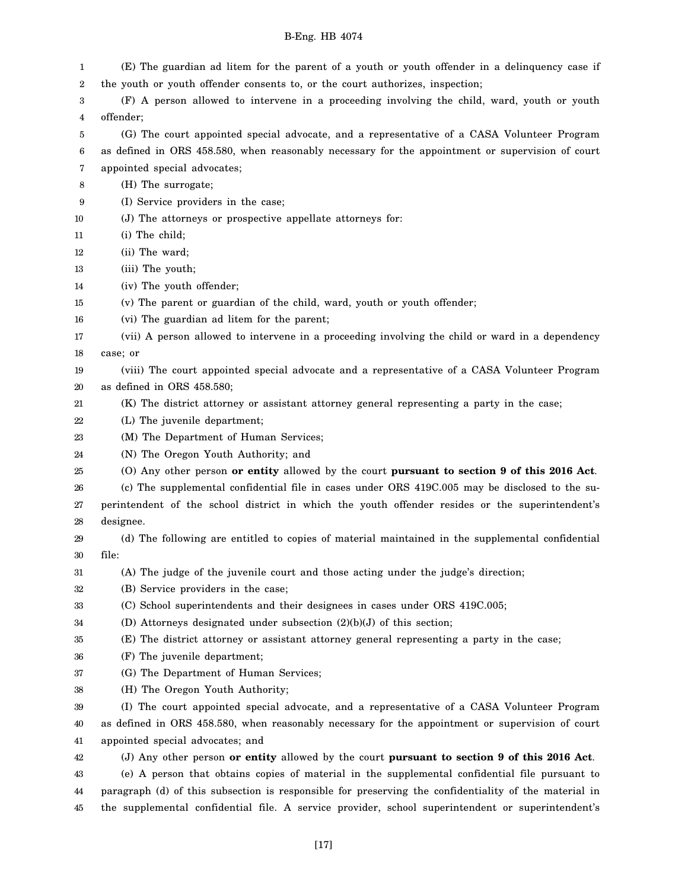| 1      | (E) The guardian ad litem for the parent of a youth or youth offender in a delinquency case if        |
|--------|-------------------------------------------------------------------------------------------------------|
| 2      | the youth or youth offender consents to, or the court authorizes, inspection;                         |
| 3      | (F) A person allowed to intervene in a proceeding involving the child, ward, youth or youth           |
| 4      | offender;                                                                                             |
| 5      | (G) The court appointed special advocate, and a representative of a CASA Volunteer Program            |
| 6      | as defined in ORS 458.580, when reasonably necessary for the appointment or supervision of court      |
| 7      | appointed special advocates;                                                                          |
| 8      | (H) The surrogate;                                                                                    |
| 9      | (I) Service providers in the case;                                                                    |
| 10     | (J) The attorneys or prospective appellate attorneys for:                                             |
| 11     | $(i)$ The child;                                                                                      |
| 12     | (ii) The ward;                                                                                        |
| 13     | (iii) The youth;                                                                                      |
| 14     | (iv) The youth offender;                                                                              |
| 15     | (v) The parent or guardian of the child, ward, youth or youth offender;                               |
| 16     | (vi) The guardian ad litem for the parent;                                                            |
| 17     | (vii) A person allowed to intervene in a proceeding involving the child or ward in a dependency       |
| 18     | case; or                                                                                              |
| 19     | (viii) The court appointed special advocate and a representative of a CASA Volunteer Program          |
| 20     | as defined in ORS 458.580;                                                                            |
| 21     | (K) The district attorney or assistant attorney general representing a party in the case;             |
| 22     | (L) The juvenile department;                                                                          |
| 23     | (M) The Department of Human Services;                                                                 |
| 24     | (N) The Oregon Youth Authority; and                                                                   |
| 25     | (O) Any other person or entity allowed by the court pursuant to section 9 of this 2016 Act.           |
| 26     | (c) The supplemental confidential file in cases under ORS 419C.005 may be disclosed to the su-        |
| 27     | perintendent of the school district in which the youth offender resides or the superintendent's       |
| 28     | designee.                                                                                             |
| 29     | (d) The following are entitled to copies of material maintained in the supplemental confidential      |
| 30     | file:                                                                                                 |
| $31\,$ | (A) The judge of the juvenile court and those acting under the judge's direction;                     |
| 32     | (B) Service providers in the case;                                                                    |
| 33     | (C) School superintendents and their designees in cases under ORS 419C.005;                           |
| 34     | (D) Attorneys designated under subsection $(2)(b)(J)$ of this section;                                |
| 35     | (E) The district attorney or assistant attorney general representing a party in the case;             |
| 36     | (F) The juvenile department;                                                                          |
| 37     | (G) The Department of Human Services;                                                                 |
| 38     | (H) The Oregon Youth Authority;                                                                       |
| 39     | (I) The court appointed special advocate, and a representative of a CASA Volunteer Program            |
| 40     | as defined in ORS 458.580, when reasonably necessary for the appointment or supervision of court      |
| 41     | appointed special advocates; and                                                                      |
| 42     | (J) Any other person or entity allowed by the court pursuant to section 9 of this 2016 Act.           |
| 43     | (e) A person that obtains copies of material in the supplemental confidential file pursuant to        |
| 44     | paragraph (d) of this subsection is responsible for preserving the confidentiality of the material in |
| 45     | the supplemental confidential file. A service provider, school superintendent or superintendent's     |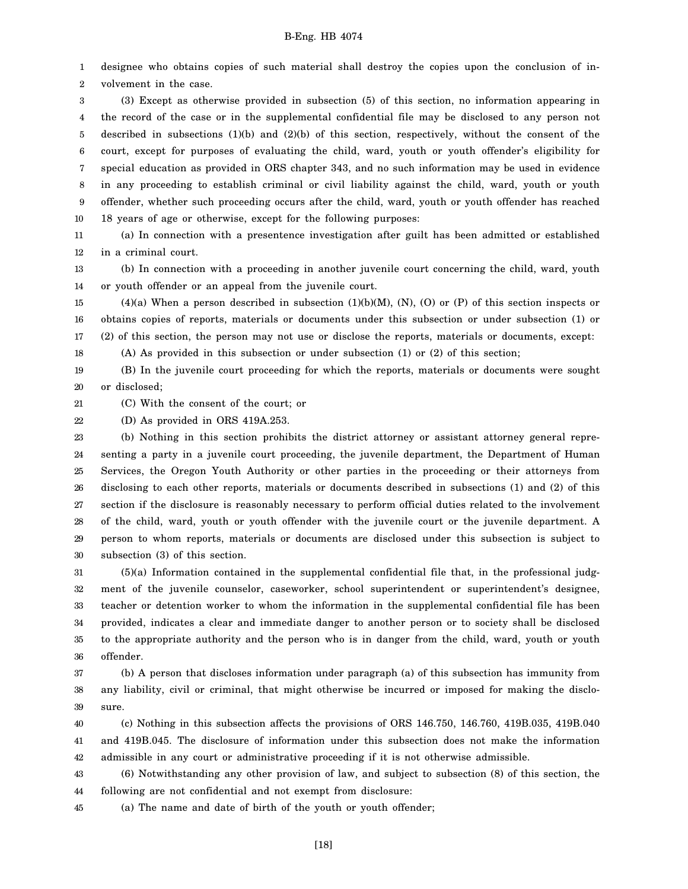1 2 designee who obtains copies of such material shall destroy the copies upon the conclusion of involvement in the case.

3 4 5 6 7 8 9 10 (3) Except as otherwise provided in subsection (5) of this section, no information appearing in the record of the case or in the supplemental confidential file may be disclosed to any person not described in subsections (1)(b) and (2)(b) of this section, respectively, without the consent of the court, except for purposes of evaluating the child, ward, youth or youth offender's eligibility for special education as provided in ORS chapter 343, and no such information may be used in evidence in any proceeding to establish criminal or civil liability against the child, ward, youth or youth offender, whether such proceeding occurs after the child, ward, youth or youth offender has reached 18 years of age or otherwise, except for the following purposes:

11 12 (a) In connection with a presentence investigation after guilt has been admitted or established in a criminal court.

13 14 (b) In connection with a proceeding in another juvenile court concerning the child, ward, youth or youth offender or an appeal from the juvenile court.

15 16 17  $(4)(a)$  When a person described in subsection  $(1)(b)(M)$ ,  $(N)$ ,  $(O)$  or  $(P)$  of this section inspects or obtains copies of reports, materials or documents under this subsection or under subsection (1) or (2) of this section, the person may not use or disclose the reports, materials or documents, except:

(A) As provided in this subsection or under subsection (1) or (2) of this section;

19 20 (B) In the juvenile court proceeding for which the reports, materials or documents were sought or disclosed;

21 (C) With the consent of the court; or

22 (D) As provided in ORS 419A.253.

18

23 24 25 26 27 28 29 30 (b) Nothing in this section prohibits the district attorney or assistant attorney general representing a party in a juvenile court proceeding, the juvenile department, the Department of Human Services, the Oregon Youth Authority or other parties in the proceeding or their attorneys from disclosing to each other reports, materials or documents described in subsections (1) and (2) of this section if the disclosure is reasonably necessary to perform official duties related to the involvement of the child, ward, youth or youth offender with the juvenile court or the juvenile department. A person to whom reports, materials or documents are disclosed under this subsection is subject to subsection (3) of this section.

31 32 33 34 35 36 (5)(a) Information contained in the supplemental confidential file that, in the professional judgment of the juvenile counselor, caseworker, school superintendent or superintendent's designee, teacher or detention worker to whom the information in the supplemental confidential file has been provided, indicates a clear and immediate danger to another person or to society shall be disclosed to the appropriate authority and the person who is in danger from the child, ward, youth or youth offender.

37 38 39 (b) A person that discloses information under paragraph (a) of this subsection has immunity from any liability, civil or criminal, that might otherwise be incurred or imposed for making the disclosure.

40 41 42 (c) Nothing in this subsection affects the provisions of ORS 146.750, 146.760, 419B.035, 419B.040 and 419B.045. The disclosure of information under this subsection does not make the information admissible in any court or administrative proceeding if it is not otherwise admissible.

43 44 (6) Notwithstanding any other provision of law, and subject to subsection (8) of this section, the following are not confidential and not exempt from disclosure:

45 (a) The name and date of birth of the youth or youth offender;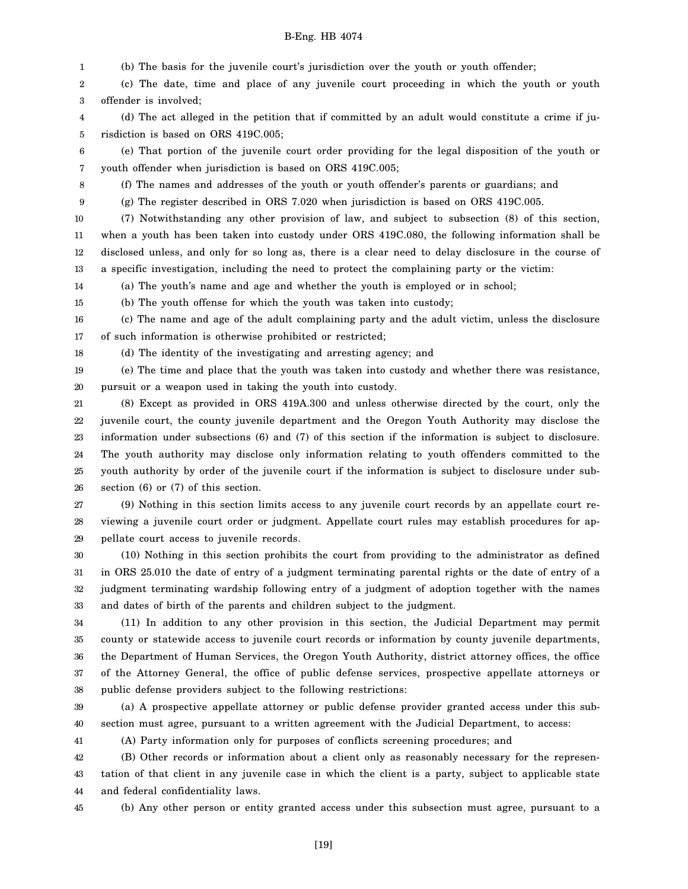1 2 3 4 (b) The basis for the juvenile court's jurisdiction over the youth or youth offender; (c) The date, time and place of any juvenile court proceeding in which the youth or youth offender is involved; (d) The act alleged in the petition that if committed by an adult would constitute a crime if ju-

5 risdiction is based on ORS 419C.005;

6 7 (e) That portion of the juvenile court order providing for the legal disposition of the youth or youth offender when jurisdiction is based on ORS 419C.005;

8

(f) The names and addresses of the youth or youth offender's parents or guardians; and

9 (g) The register described in ORS 7.020 when jurisdiction is based on ORS 419C.005.

10 11 12 13 (7) Notwithstanding any other provision of law, and subject to subsection (8) of this section, when a youth has been taken into custody under ORS 419C.080, the following information shall be disclosed unless, and only for so long as, there is a clear need to delay disclosure in the course of a specific investigation, including the need to protect the complaining party or the victim:

14 (a) The youth's name and age and whether the youth is employed or in school;

15 (b) The youth offense for which the youth was taken into custody;

16 17 (c) The name and age of the adult complaining party and the adult victim, unless the disclosure of such information is otherwise prohibited or restricted;

18 (d) The identity of the investigating and arresting agency; and

19 20 (e) The time and place that the youth was taken into custody and whether there was resistance, pursuit or a weapon used in taking the youth into custody.

21 22 23 24 25 26 (8) Except as provided in ORS 419A.300 and unless otherwise directed by the court, only the juvenile court, the county juvenile department and the Oregon Youth Authority may disclose the information under subsections (6) and (7) of this section if the information is subject to disclosure. The youth authority may disclose only information relating to youth offenders committed to the youth authority by order of the juvenile court if the information is subject to disclosure under subsection (6) or (7) of this section.

27 28 29 (9) Nothing in this section limits access to any juvenile court records by an appellate court reviewing a juvenile court order or judgment. Appellate court rules may establish procedures for appellate court access to juvenile records.

30 31 32 33 (10) Nothing in this section prohibits the court from providing to the administrator as defined in ORS 25.010 the date of entry of a judgment terminating parental rights or the date of entry of a judgment terminating wardship following entry of a judgment of adoption together with the names and dates of birth of the parents and children subject to the judgment.

34 35 36 37 38 (11) In addition to any other provision in this section, the Judicial Department may permit county or statewide access to juvenile court records or information by county juvenile departments, the Department of Human Services, the Oregon Youth Authority, district attorney offices, the office of the Attorney General, the office of public defense services, prospective appellate attorneys or public defense providers subject to the following restrictions:

39 40 (a) A prospective appellate attorney or public defense provider granted access under this subsection must agree, pursuant to a written agreement with the Judicial Department, to access:

41

(A) Party information only for purposes of conflicts screening procedures; and

42 43 44 (B) Other records or information about a client only as reasonably necessary for the representation of that client in any juvenile case in which the client is a party, subject to applicable state and federal confidentiality laws.

45

(b) Any other person or entity granted access under this subsection must agree, pursuant to a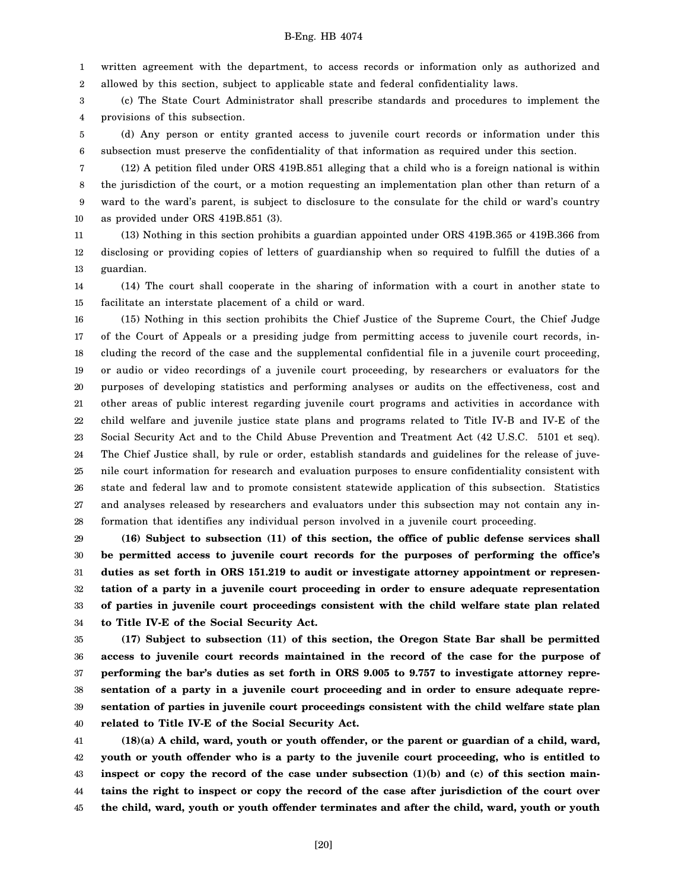1 2 written agreement with the department, to access records or information only as authorized and allowed by this section, subject to applicable state and federal confidentiality laws.

3 4 (c) The State Court Administrator shall prescribe standards and procedures to implement the provisions of this subsection.

5 6 (d) Any person or entity granted access to juvenile court records or information under this subsection must preserve the confidentiality of that information as required under this section.

7 8 9 10 (12) A petition filed under ORS 419B.851 alleging that a child who is a foreign national is within the jurisdiction of the court, or a motion requesting an implementation plan other than return of a ward to the ward's parent, is subject to disclosure to the consulate for the child or ward's country as provided under ORS 419B.851 (3).

11 12 13 (13) Nothing in this section prohibits a guardian appointed under ORS 419B.365 or 419B.366 from disclosing or providing copies of letters of guardianship when so required to fulfill the duties of a guardian.

14 15 (14) The court shall cooperate in the sharing of information with a court in another state to facilitate an interstate placement of a child or ward.

16 17 18 19 20 21 22 23 24 25 26 27 28 (15) Nothing in this section prohibits the Chief Justice of the Supreme Court, the Chief Judge of the Court of Appeals or a presiding judge from permitting access to juvenile court records, including the record of the case and the supplemental confidential file in a juvenile court proceeding, or audio or video recordings of a juvenile court proceeding, by researchers or evaluators for the purposes of developing statistics and performing analyses or audits on the effectiveness, cost and other areas of public interest regarding juvenile court programs and activities in accordance with child welfare and juvenile justice state plans and programs related to Title IV-B and IV-E of the Social Security Act and to the Child Abuse Prevention and Treatment Act (42 U.S.C. 5101 et seq). The Chief Justice shall, by rule or order, establish standards and guidelines for the release of juvenile court information for research and evaluation purposes to ensure confidentiality consistent with state and federal law and to promote consistent statewide application of this subsection. Statistics and analyses released by researchers and evaluators under this subsection may not contain any information that identifies any individual person involved in a juvenile court proceeding.

29 30 31 32 33 34 **(16) Subject to subsection (11) of this section, the office of public defense services shall be permitted access to juvenile court records for the purposes of performing the office's duties as set forth in ORS 151.219 to audit or investigate attorney appointment or representation of a party in a juvenile court proceeding in order to ensure adequate representation of parties in juvenile court proceedings consistent with the child welfare state plan related to Title IV-E of the Social Security Act.**

35 36 37 38 39 40 **(17) Subject to subsection (11) of this section, the Oregon State Bar shall be permitted access to juvenile court records maintained in the record of the case for the purpose of performing the bar's duties as set forth in ORS 9.005 to 9.757 to investigate attorney representation of a party in a juvenile court proceeding and in order to ensure adequate representation of parties in juvenile court proceedings consistent with the child welfare state plan related to Title IV-E of the Social Security Act.**

41 42 43 44 45 **(18)(a) A child, ward, youth or youth offender, or the parent or guardian of a child, ward, youth or youth offender who is a party to the juvenile court proceeding, who is entitled to inspect or copy the record of the case under subsection (1)(b) and (c) of this section maintains the right to inspect or copy the record of the case after jurisdiction of the court over the child, ward, youth or youth offender terminates and after the child, ward, youth or youth**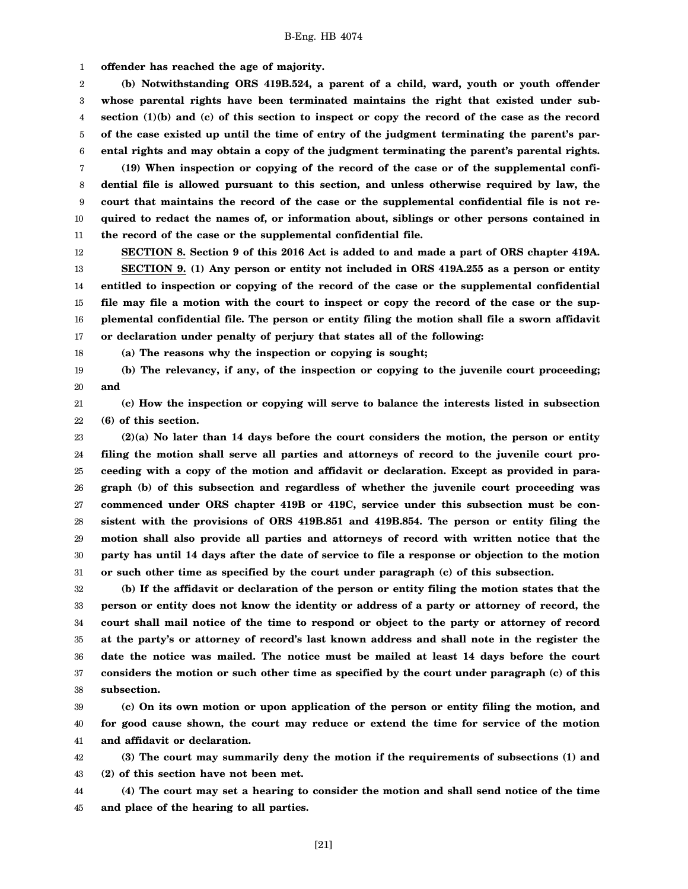1 **offender has reached the age of majority.**

2 3 4 5 6 **(b) Notwithstanding ORS 419B.524, a parent of a child, ward, youth or youth offender whose parental rights have been terminated maintains the right that existed under subsection (1)(b) and (c) of this section to inspect or copy the record of the case as the record of the case existed up until the time of entry of the judgment terminating the parent's parental rights and may obtain a copy of the judgment terminating the parent's parental rights.**

7 8 9 10 11 **(19) When inspection or copying of the record of the case or of the supplemental confidential file is allowed pursuant to this section, and unless otherwise required by law, the court that maintains the record of the case or the supplemental confidential file is not required to redact the names of, or information about, siblings or other persons contained in the record of the case or the supplemental confidential file.**

12 13 14 15 16 17 **SECTION 8. Section 9 of this 2016 Act is added to and made a part of ORS chapter 419A. SECTION 9. (1) Any person or entity not included in ORS 419A.255 as a person or entity entitled to inspection or copying of the record of the case or the supplemental confidential file may file a motion with the court to inspect or copy the record of the case or the supplemental confidential file. The person or entity filing the motion shall file a sworn affidavit or declaration under penalty of perjury that states all of the following:**

18

**(a) The reasons why the inspection or copying is sought;**

19 20 **(b) The relevancy, if any, of the inspection or copying to the juvenile court proceeding; and**

21 22 **(c) How the inspection or copying will serve to balance the interests listed in subsection (6) of this section.**

23 24 25 26 27 28 29 30 31 **(2)(a) No later than 14 days before the court considers the motion, the person or entity filing the motion shall serve all parties and attorneys of record to the juvenile court proceeding with a copy of the motion and affidavit or declaration. Except as provided in paragraph (b) of this subsection and regardless of whether the juvenile court proceeding was commenced under ORS chapter 419B or 419C, service under this subsection must be consistent with the provisions of ORS 419B.851 and 419B.854. The person or entity filing the motion shall also provide all parties and attorneys of record with written notice that the party has until 14 days after the date of service to file a response or objection to the motion or such other time as specified by the court under paragraph (c) of this subsection.**

32 33 34 35 36 37 38 **(b) If the affidavit or declaration of the person or entity filing the motion states that the person or entity does not know the identity or address of a party or attorney of record, the court shall mail notice of the time to respond or object to the party or attorney of record at the party's or attorney of record's last known address and shall note in the register the date the notice was mailed. The notice must be mailed at least 14 days before the court considers the motion or such other time as specified by the court under paragraph (c) of this subsection.**

39 40 41 **(c) On its own motion or upon application of the person or entity filing the motion, and for good cause shown, the court may reduce or extend the time for service of the motion and affidavit or declaration.**

42 43 **(3) The court may summarily deny the motion if the requirements of subsections (1) and (2) of this section have not been met.**

44 45 **(4) The court may set a hearing to consider the motion and shall send notice of the time and place of the hearing to all parties.**